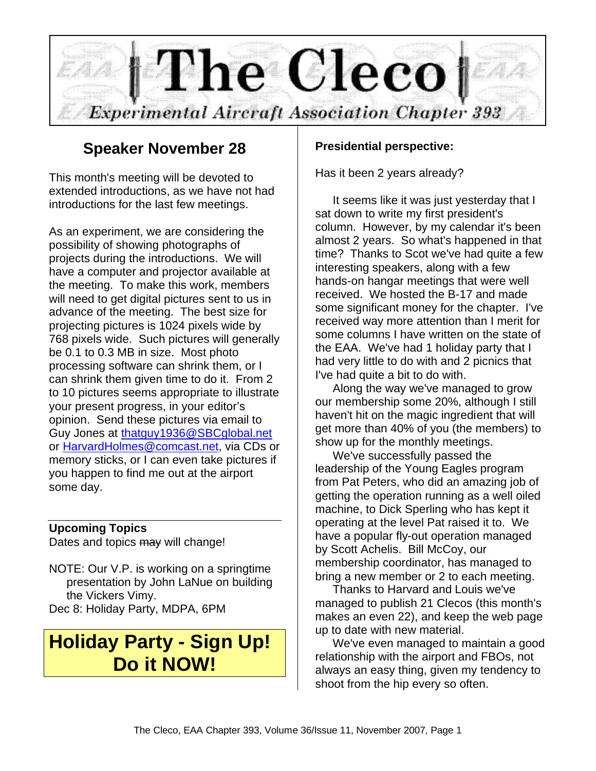

### **Speaker November 28**

This month's meeting will be devoted to extended introductions, as we have not had introductions for the last few meetings.

As an experiment, we are considering the possibility of showing photographs of projects during the introductions. We will have a computer and projector available at the meeting. To make this work, members will need to get digital pictures sent to us in advance of the meeting. The best size for projecting pictures is 1024 pixels wide by 768 pixels wide. Such pictures will generally be 0.1 to 0.3 MB in size. Most photo processing software can shrink them, or I can shrink them given time to do it. From 2 to 10 pictures seems appropriate to illustrate your present progress, in your editor's opinion. Send these pictures via email to Guy Jones at thatguy1936@SBCglobal.net or HarvardHolmes@comcast.net, via CDs or memory sticks, or I can even take pictures if you happen to find me out at the airport some day.

#### **Upcoming Topics**

Dates and topics may will change!

NOTE: Our V.P. is working on a springtime presentation by John LaNue on building the Vickers Vimy. Dec 8: Holiday Party, MDPA, 6PM

## **Holiday Party - Sign Up! Do it NOW!**

#### **Presidential perspective:**

Has it been 2 years already?

It seems like it was just yesterday that I sat down to write my first president's column. However, by my calendar it's been almost 2 years. So what's happened in that time? Thanks to Scot we've had quite a few interesting speakers, along with a few hands-on hangar meetings that were well received. We hosted the B-17 and made some significant money for the chapter. I've received way more attention than I merit for some columns I have written on the state of the EAA. We've had 1 holiday party that I had very little to do with and 2 picnics that I've had quite a bit to do with.

Along the way we've managed to grow our membership some 20%, although I still haven't hit on the magic ingredient that will get more than 40% of you (the members) to show up for the monthly meetings.

We've successfully passed the leadership of the Young Eagles program from Pat Peters, who did an amazing job of getting the operation running as a well oiled machine, to Dick Sperling who has kept it operating at the level Pat raised it to. We have a popular fly-out operation managed by Scott Achelis. Bill McCoy, our membership coordinator, has managed to bring a new member or 2 to each meeting.

Thanks to Harvard and Louis we've managed to publish 21 Clecos (this month's makes an even 22), and keep the web page up to date with new material.

We've even managed to maintain a good relationship with the airport and FBOs, not always an easy thing, given my tendency to shoot from the hip every so often.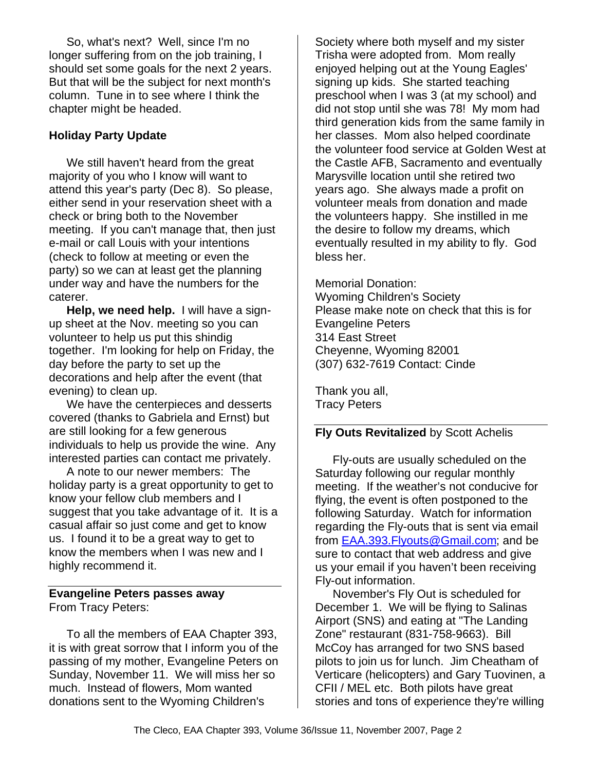So, what's next? Well, since I'm no longer suffering from on the job training, I should set some goals for the next 2 years. But that will be the subject for next month's column. Tune in to see where I think the chapter might be headed.

#### **Holiday Party Update**

We still haven't heard from the great majority of you who I know will want to attend this year's party (Dec 8). So please, either send in your reservation sheet with a check or bring both to the November meeting. If you can't manage that, then just e-mail or call Louis with your intentions (check to follow at meeting or even the party) so we can at least get the planning under way and have the numbers for the caterer.

**Help, we need help.** I will have a signup sheet at the Nov. meeting so you can volunteer to help us put this shindig together. I'm looking for help on Friday, the day before the party to set up the decorations and help after the event (that evening) to clean up.

We have the centerpieces and desserts covered (thanks to Gabriela and Ernst) but are still looking for a few generous individuals to help us provide the wine. Any interested parties can contact me privately.

A note to our newer members: The holiday party is a great opportunity to get to know your fellow club members and I suggest that you take advantage of it. It is a casual affair so just come and get to know us. I found it to be a great way to get to know the members when I was new and I highly recommend it.

#### **Evangeline Peters passes away** From Tracy Peters:

To all the members of EAA Chapter 393, it is with great sorrow that I inform you of the passing of my mother, Evangeline Peters on Sunday, November 11. We will miss her so much. Instead of flowers, Mom wanted donations sent to the Wyoming Children's

Society where both myself and my sister Trisha were adopted from. Mom really enjoyed helping out at the Young Eagles' signing up kids. She started teaching preschool when I was 3 (at my school) and did not stop until she was 78! My mom had third generation kids from the same family in her classes. Mom also helped coordinate the volunteer food service at Golden West at the Castle AFB, Sacramento and eventually Marysville location until she retired two years ago. She always made a profit on volunteer meals from donation and made the volunteers happy. She instilled in me the desire to follow my dreams, which eventually resulted in my ability to fly. God bless her.

Memorial Donation: Wyoming Children's Society

Please make note on check that this is for Evangeline Peters 314 East Street Cheyenne, Wyoming 82001 (307) 632-7619 Contact: Cinde

Thank you all, Tracy Peters

#### **Fly Outs Revitalized** by Scott Achelis

Fly-outs are usually scheduled on the Saturday following our regular monthly meeting. If the weather's not conducive for flying, the event is often postponed to the following Saturday. Watch for information regarding the Fly-outs that is sent via email from EAA.393.Flyouts@Gmail.com; and be sure to contact that web address and give us your email if you haven't been receiving Fly-out information.

November's Fly Out is scheduled for December 1. We will be flying to Salinas Airport (SNS) and eating at "The Landing Zone" restaurant (831-758-9663). Bill McCoy has arranged for two SNS based pilots to join us for lunch. Jim Cheatham of Verticare (helicopters) and Gary Tuovinen, a CFII / MEL etc. Both pilots have great stories and tons of experience they're willing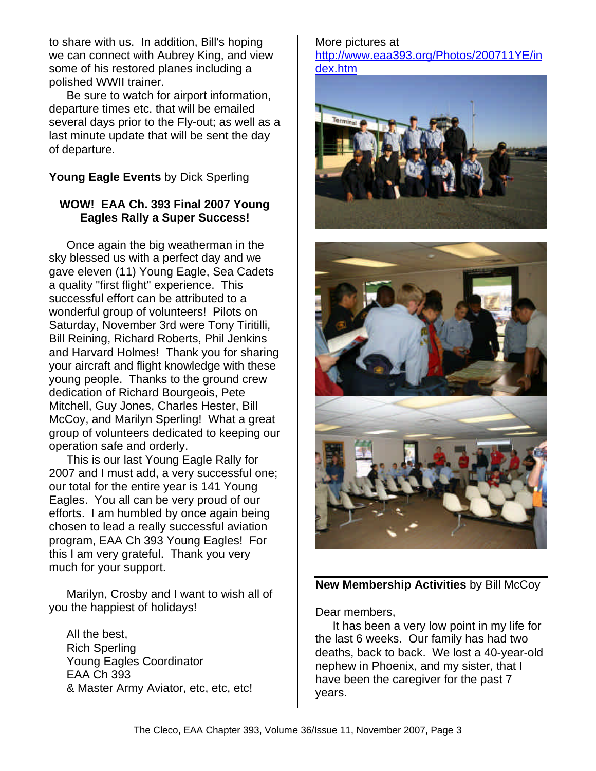to share with us. In addition, Bill's hoping we can connect with Aubrey King, and view some of his restored planes including a polished WWII trainer.

Be sure to watch for airport information, departure times etc. that will be emailed several days prior to the Fly-out; as well as a last minute update that will be sent the day of departure.

#### **Young Eagle Events** by Dick Sperling

#### **WOW! EAA Ch. 393 Final 2007 Young Eagles Rally a Super Success!**

Once again the big weatherman in the sky blessed us with a perfect day and we gave eleven (11) Young Eagle, Sea Cadets a quality "first flight" experience. This successful effort can be attributed to a wonderful group of volunteers! Pilots on Saturday, November 3rd were Tony Tiritilli, Bill Reining, Richard Roberts, Phil Jenkins and Harvard Holmes! Thank you for sharing your aircraft and flight knowledge with these young people. Thanks to the ground crew dedication of Richard Bourgeois, Pete Mitchell, Guy Jones, Charles Hester, Bill McCoy, and Marilyn Sperling! What a great group of volunteers dedicated to keeping our operation safe and orderly.

This is our last Young Eagle Rally for 2007 and I must add, a very successful one; our total for the entire year is 141 Young Eagles. You all can be very proud of our efforts. I am humbled by once again being chosen to lead a really successful aviation program, EAA Ch 393 Young Eagles! For this I am very grateful. Thank you very much for your support.

Marilyn, Crosby and I want to wish all of you the happiest of holidays!

All the best, Rich Sperling Young Eagles Coordinator EAA Ch 393 & Master Army Aviator, etc, etc, etc! More pictures at http://www.eaa393.org/Photos/200711YE/in dex.htm





**New Membership Activities** by Bill McCoy

Dear members,

It has been a very low point in my life for the last 6 weeks. Our family has had two deaths, back to back. We lost a 40-year-old nephew in Phoenix, and my sister, that I have been the caregiver for the past 7 years.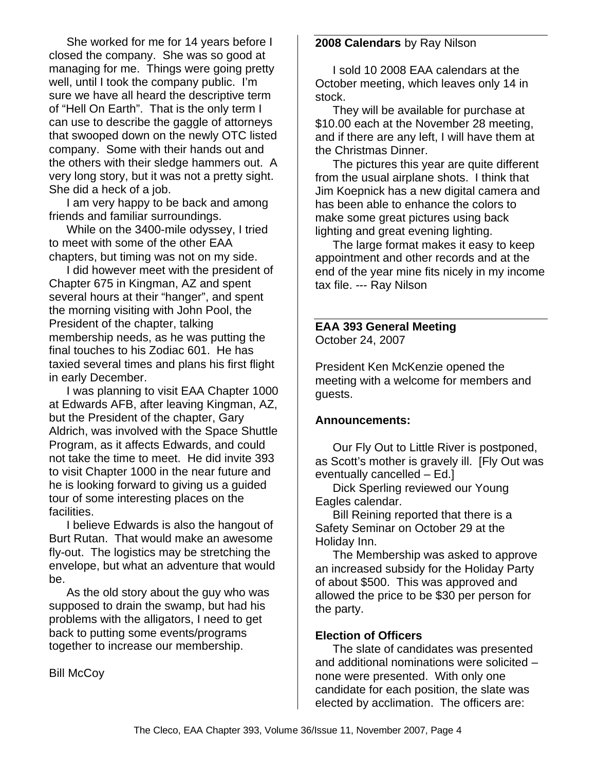She worked for me for 14 years before I closed the company. She was so good at managing for me. Things were going pretty well, until I took the company public. I'm sure we have all heard the descriptive term of "Hell On Earth". That is the only term I can use to describe the gaggle of attorneys that swooped down on the newly OTC listed company. Some with their hands out and the others with their sledge hammers out. A very long story, but it was not a pretty sight. She did a heck of a job.

I am very happy to be back and among friends and familiar surroundings.

While on the 3400-mile odyssey, I tried to meet with some of the other EAA chapters, but timing was not on my side.

I did however meet with the president of Chapter 675 in Kingman, AZ and spent several hours at their "hanger", and spent the morning visiting with John Pool, the President of the chapter, talking membership needs, as he was putting the final touches to his Zodiac 601. He has taxied several times and plans his first flight in early December.

I was planning to visit EAA Chapter 1000 at Edwards AFB, after leaving Kingman, AZ, but the President of the chapter, Gary Aldrich, was involved with the Space Shuttle Program, as it affects Edwards, and could not take the time to meet. He did invite 393 to visit Chapter 1000 in the near future and he is looking forward to giving us a guided tour of some interesting places on the facilities.

I believe Edwards is also the hangout of Burt Rutan. That would make an awesome fly-out. The logistics may be stretching the envelope, but what an adventure that would be.

As the old story about the guy who was supposed to drain the swamp, but had his problems with the alligators, I need to get back to putting some events/programs together to increase our membership.

**Bill McCoy** 

#### **2008 Calendars** by Ray Nilson

I sold 10 2008 EAA calendars at the October meeting, which leaves only 14 in stock.

They will be available for purchase at \$10.00 each at the November 28 meeting, and if there are any left, I will have them at the Christmas Dinner.

The pictures this year are quite different from the usual airplane shots. I think that Jim Koepnick has a new digital camera and has been able to enhance the colors to make some great pictures using back lighting and great evening lighting.

The large format makes it easy to keep appointment and other records and at the end of the year mine fits nicely in my income tax file. --- Ray Nilson

#### **EAA 393 General Meeting** October 24, 2007

President Ken McKenzie opened the meeting with a welcome for members and guests.

#### **Announcements:**

Our Fly Out to Little River is postponed, as Scott's mother is gravely ill. [Fly Out was eventually cancelled – Ed.]

Dick Sperling reviewed our Young Eagles calendar.

Bill Reining reported that there is a Safety Seminar on October 29 at the Holiday Inn.

The Membership was asked to approve an increased subsidy for the Holiday Party of about \$500. This was approved and allowed the price to be \$30 per person for the party.

#### **Election of Officers**

The slate of candidates was presented and additional nominations were solicited – none were presented. With only one candidate for each position, the slate was elected by acclimation. The officers are: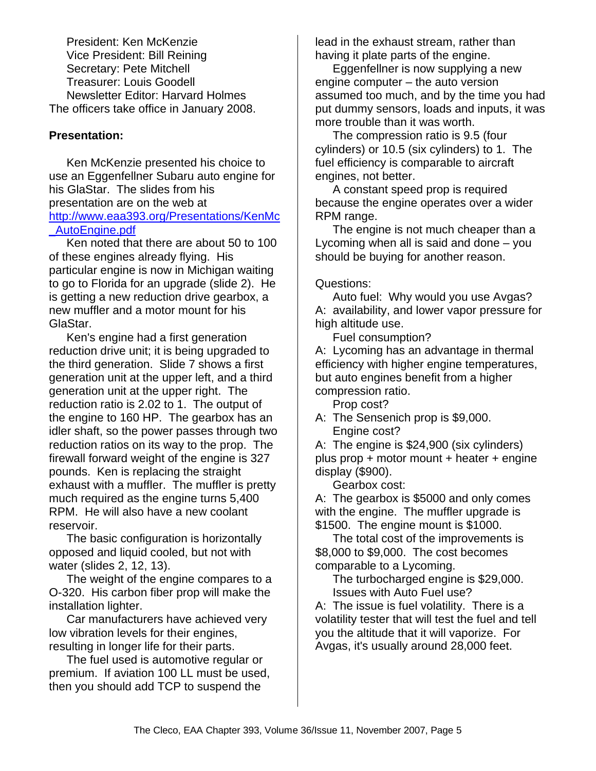President: Ken McKenzie Vice President: Bill Reining Secretary: Pete Mitchell Treasurer: Louis Goodell Newsletter Editor: Harvard Holmes The officers take office in January 2008.

#### **Presentation:**

Ken McKenzie presented his choice to use an Eggenfellner Subaru auto engine for his GlaStar. The slides from his presentation are on the web at http://www.eaa393.org/Presentations/KenMc \_AutoEngine.pdf

Ken noted that there are about 50 to 100 of these engines already flying. His particular engine is now in Michigan waiting to go to Florida for an upgrade (slide 2). He is getting a new reduction drive gearbox, a new muffler and a motor mount for his GlaStar.

Ken's engine had a first generation reduction drive unit; it is being upgraded to the third generation. Slide 7 shows a first generation unit at the upper left, and a third generation unit at the upper right. The reduction ratio is 2.02 to 1. The output of the engine to 160 HP. The gearbox has an idler shaft, so the power passes through two reduction ratios on its way to the prop. The firewall forward weight of the engine is 327 pounds. Ken is replacing the straight exhaust with a muffler. The muffler is pretty much required as the engine turns 5,400 RPM. He will also have a new coolant reservoir.

The basic configuration is horizontally opposed and liquid cooled, but not with water (slides 2, 12, 13).

The weight of the engine compares to a O-320. His carbon fiber prop will make the installation lighter.

Car manufacturers have achieved very low vibration levels for their engines, resulting in longer life for their parts.

The fuel used is automotive regular or premium. If aviation 100 LL must be used, then you should add TCP to suspend the

lead in the exhaust stream, rather than having it plate parts of the engine.

Eggenfellner is now supplying a new engine computer – the auto version assumed too much, and by the time you had put dummy sensors, loads and inputs, it was more trouble than it was worth.

The compression ratio is 9.5 (four cylinders) or 10.5 (six cylinders) to 1. The fuel efficiency is comparable to aircraft engines, not better.

A constant speed prop is required because the engine operates over a wider RPM range.

The engine is not much cheaper than a Lycoming when all is said and done – you should be buying for another reason.

Questions:

Auto fuel: Why would you use Avgas? A: availability, and lower vapor pressure for high altitude use.

Fuel consumption?

A: Lycoming has an advantage in thermal efficiency with higher engine temperatures, but auto engines benefit from a higher compression ratio.

Prop cost?

A: The Sensenich prop is \$9,000. Engine cost?

A: The engine is \$24,900 (six cylinders) plus prop + motor mount + heater + engine display (\$900).

Gearbox cost:

A: The gearbox is \$5000 and only comes with the engine. The muffler upgrade is \$1500. The engine mount is \$1000.

The total cost of the improvements is \$8,000 to \$9,000. The cost becomes comparable to a Lycoming.

The turbocharged engine is \$29,000. Issues with Auto Fuel use?

A: The issue is fuel volatility. There is a volatility tester that will test the fuel and tell you the altitude that it will vaporize. For Avgas, it's usually around 28,000 feet.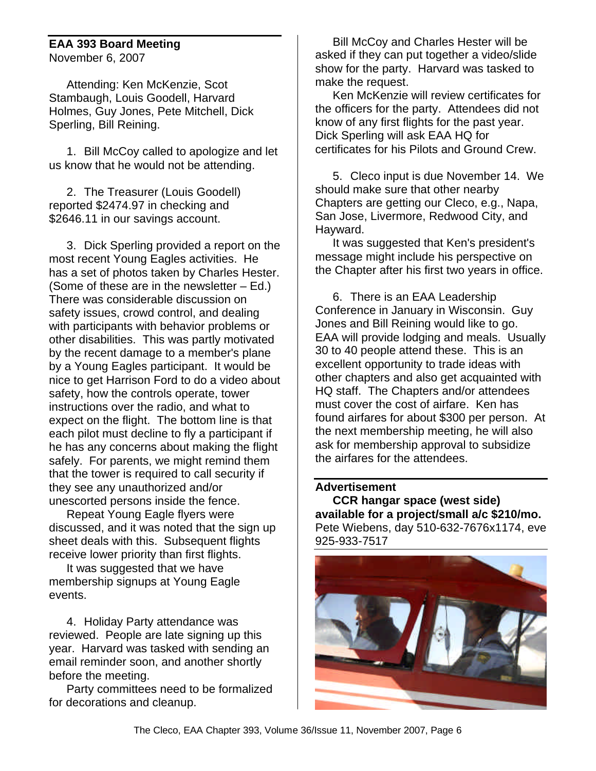#### **EAA 393 Board Meeting** November 6, 2007

Attending: Ken McKenzie, Scot Stambaugh, Louis Goodell, Harvard Holmes, Guy Jones, Pete Mitchell, Dick Sperling, Bill Reining.

1. Bill McCoy called to apologize and let us know that he would not be attending.

2. The Treasurer (Louis Goodell) reported \$2474.97 in checking and \$2646.11 in our savings account.

3. Dick Sperling provided a report on the most recent Young Eagles activities. He has a set of photos taken by Charles Hester. (Some of these are in the newsletter – Ed.) There was considerable discussion on safety issues, crowd control, and dealing with participants with behavior problems or other disabilities. This was partly motivated by the recent damage to a member's plane by a Young Eagles participant. It would be nice to get Harrison Ford to do a video about safety, how the controls operate, tower instructions over the radio, and what to expect on the flight. The bottom line is that each pilot must decline to fly a participant if he has any concerns about making the flight safely. For parents, we might remind them that the tower is required to call security if they see any unauthorized and/or unescorted persons inside the fence.

Repeat Young Eagle flyers were discussed, and it was noted that the sign up sheet deals with this. Subsequent flights receive lower priority than first flights.

It was suggested that we have membership signups at Young Eagle events.

4. Holiday Party attendance was reviewed. People are late signing up this year. Harvard was tasked with sending an email reminder soon, and another shortly before the meeting.

Party committees need to be formalized for decorations and cleanup.

Bill McCoy and Charles Hester will be asked if they can put together a video/slide show for the party. Harvard was tasked to make the request.

Ken McKenzie will review certificates for the officers for the party. Attendees did not know of any first flights for the past year. Dick Sperling will ask EAA HQ for certificates for his Pilots and Ground Crew.

5. Cleco input is due November 14. We should make sure that other nearby Chapters are getting our Cleco, e.g., Napa, San Jose, Livermore, Redwood City, and Hayward.

It was suggested that Ken's president's message might include his perspective on the Chapter after his first two years in office.

6. There is an EAA Leadership Conference in January in Wisconsin. Guy Jones and Bill Reining would like to go. EAA will provide lodging and meals. Usually 30 to 40 people attend these. This is an excellent opportunity to trade ideas with other chapters and also get acquainted with HQ staff. The Chapters and/or attendees must cover the cost of airfare. Ken has found airfares for about \$300 per person. At the next membership meeting, he will also ask for membership approval to subsidize the airfares for the attendees.

#### **Advertisement**

**CCR hangar space (west side) available for a project/small a/c \$210/mo.** Pete Wiebens, day 510-632-7676x1174, eve 925-933-7517

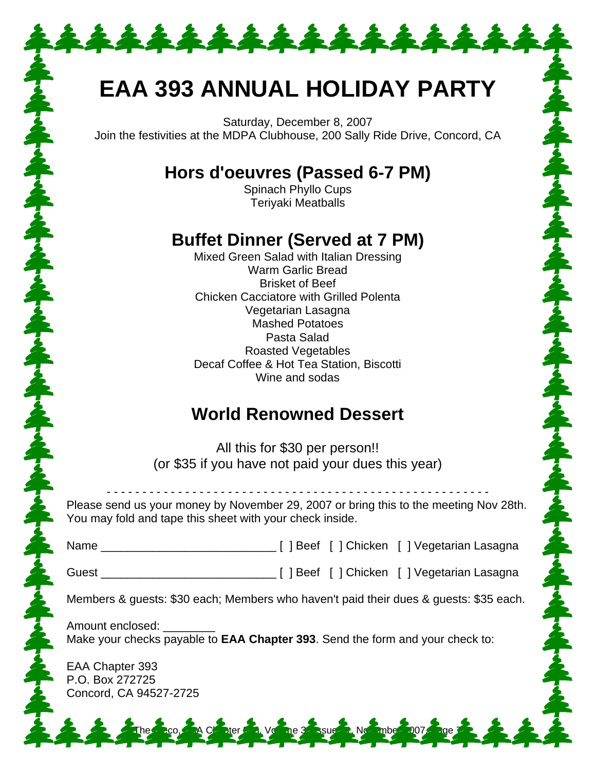## **EAA 393 ANNUAL HOLIDAY PARTY**

\*\*\*\*\*\*\*\*\*\*\*\*\*\*

Saturday, December 8, 2007 Join the festivities at the MDPA Clubhouse, 200 Sally Ride Drive, Concord, CA

## **Hors d'oeuvres (Passed 6-7 PM)**

Spinach Phyllo Cups Teriyaki Meatballs

## **Buffet Dinner (Served at 7 PM)**

Mixed Green Salad with Italian Dressing Warm Garlic Bread Brisket of Beef Chicken Cacciatore with Grilled Polenta Vegetarian Lasagna Mashed Potatoes Pasta Salad Roasted Vegetables Decaf Coffee & Hot Tea Station, Biscotti Wine and sodas

## **World Renowned Dessert**

All this for \$30 per person!! (or \$35 if you have not paid your dues this year)

Please send us your money by November 29, 2007 or bring this to the meeting Nov 28th. You may fold and tape this sheet with your check inside.

- - - - - - - - - - - - - - - - - - - - - - - - - - - - - - - - - - - - - - - - - - - - - - - - - - - - - -

| Name |  | [ ] Beef [ ] Chicken [ ] Vegetarian Lasagna |
|------|--|---------------------------------------------|
|      |  |                                             |

Guest \_\_\_\_\_\_\_\_\_\_\_\_\_\_\_\_\_\_\_\_\_\_\_\_\_\_\_ [ ] Beef [ ] Chicken [ ] Vegetarian Lasagna

Members & guests: \$30 each; Members who haven't paid their dues & guests: \$35 each.

The 3<sup>93</sup> Ssue 12, November

大家 人名英格兰人姓氏米尔森取自父名来源于

Amount enclosed: Make your checks payable to **EAA Chapter 393**. Send the form and your check to:

EAA Chapter 393 P.O. Box 272725 Concord, CA 94527-2725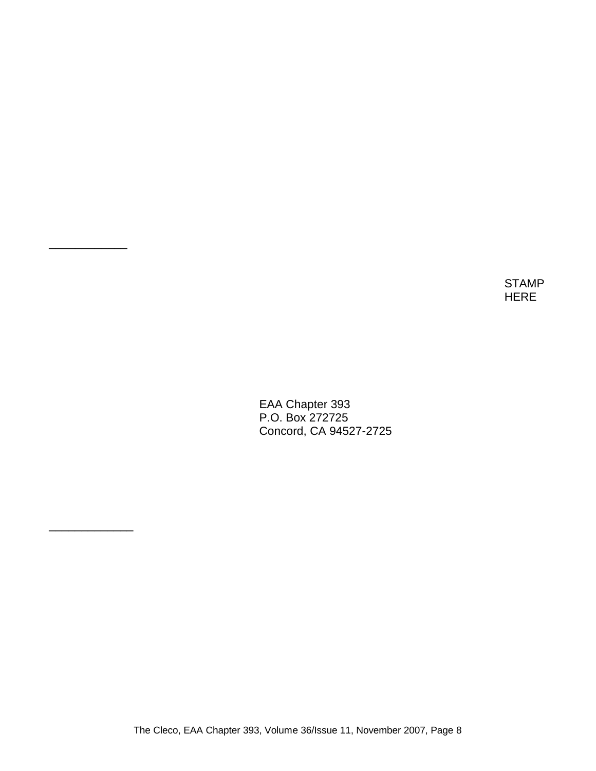STAMP HERE

EAA Chapter 393 P.O. Box 272725 Concord, CA 94527-2725

\_\_\_\_\_\_\_\_\_\_\_\_

\_\_\_\_\_\_\_\_\_\_\_\_\_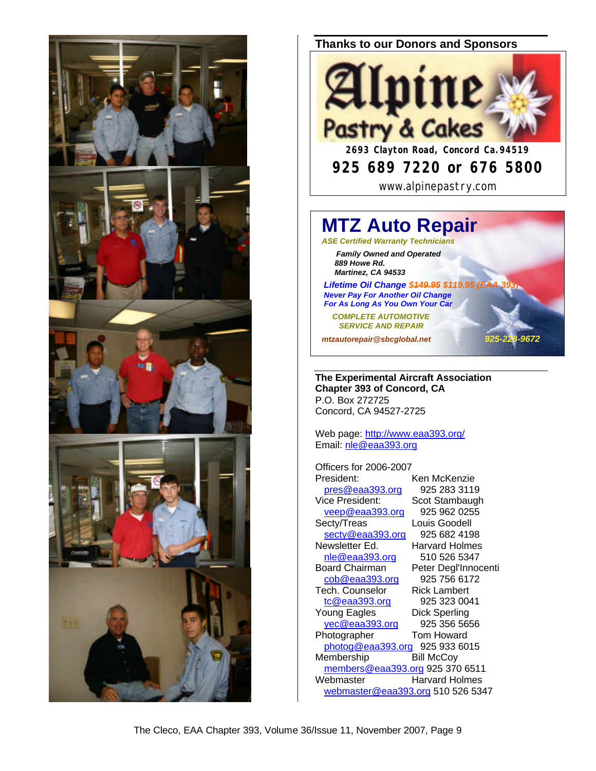

#### **Thanks to our Donors and Sponsors**



www.alpinepastry.com

## **MTZ Auto Repair**

*ASE Certified Warranty Technicians*

 *Family Owned and Operated 889 Howe Rd. Martinez, CA 94533*

**Lifetime Oil Change \$449.95 \$119.95 (I**  *Never Pay For Another Oil Change For As Long As You Own Your Car*

 *COMPLETE AUTOMOTIVE SERVICE AND REPAIR*

*mtzautorepair@sbcglobal.net 925-228-9672*

**The Experimental Aircraft Association Chapter 393 of Concord, CA** P.O. Box 272725 Concord, CA 94527-2725

Web page: http://www.eaa393.org/ Email: nle@eaa393.org

Officers for 2006-2007 President: Ken McKenzie pres@eaa393.org 925 283 3119 Vice President: Scot Stambaugh veep@eaa393.org 925 962 0255 Secty/Treas Louis Goodell secty@eaa393.org 925 682 4198<br>ewsletter Ed. Harvard Holmes Newsletter Ed. nle@eaa393.org 510 526 5347 Board Chairman Peter Degl'Innocenti<br>cob@eaa393.org 925 756 6172 cob@eaa393.org 925 756 617<br>ech. Counselor Rick Lambert Tech. Counselor tc@eaa393.org 925 323 0041 Young Eagles Dick Sperling yec@eaa393.org 925 356 5656 Photographer Tom Howard photog@eaa393.org 925 933 6015 Membership Bill McCoy members@eaa393.org 925 370 6511 Webmaster Harvard Holmes webmaster@eaa393.org 510 526 5347